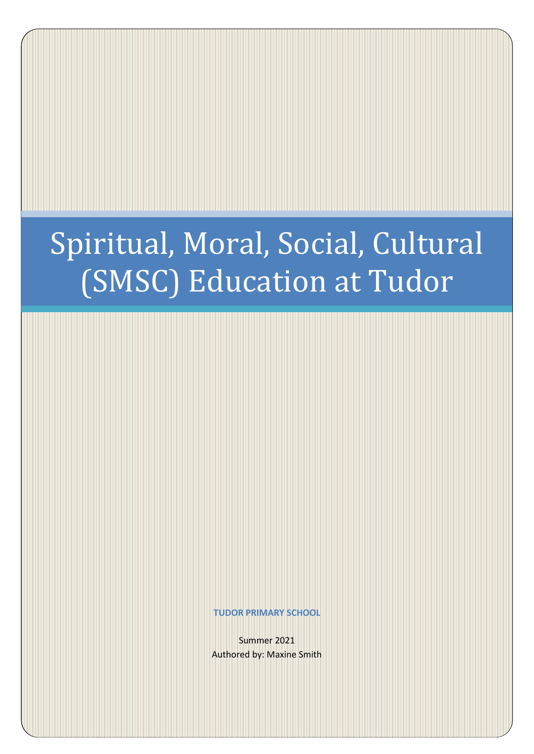# Spiritual, Moral, Social, Cultural (SMSC) Education at Tudor

**TUDOR PRIMARY SCHOOL**

Summer 2021 Authored by: Maxine Smith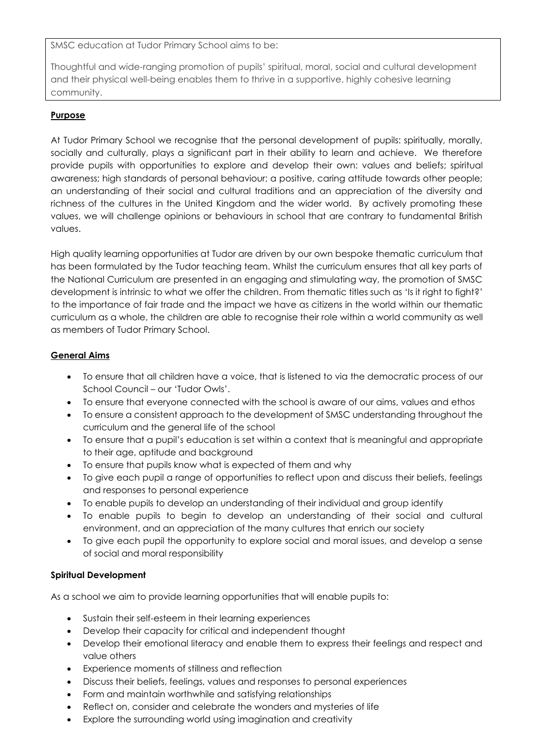SMSC education at Tudor Primary School aims to be:

Thoughtful and wide-ranging promotion of pupils' spiritual, moral, social and cultural development and their physical well-being enables them to thrive in a supportive, highly cohesive learning community.

## **Purpose**

At Tudor Primary School we recognise that the personal development of pupils: spiritually, morally, socially and culturally, plays a significant part in their ability to learn and achieve. We therefore provide pupils with opportunities to explore and develop their own: values and beliefs; spiritual awareness; high standards of personal behaviour; a positive, caring attitude towards other people; an understanding of their social and cultural traditions and an appreciation of the diversity and richness of the cultures in the United Kingdom and the wider world. By actively promoting these values, we will challenge opinions or behaviours in school that are contrary to fundamental British values.

High quality learning opportunities at Tudor are driven by our own bespoke thematic curriculum that has been formulated by the Tudor teaching team. Whilst the curriculum ensures that all key parts of the National Curriculum are presented in an engaging and stimulating way, the promotion of SMSC development is intrinsic to what we offer the children. From thematic titles such as 'Is it right to fight?' to the importance of fair trade and the impact we have as citizens in the world within our thematic curriculum as a whole, the children are able to recognise their role within a world community as well as members of Tudor Primary School.

### **General Aims**

- To ensure that all children have a voice, that is listened to via the democratic process of our School Council – our 'Tudor Owls'.
- To ensure that everyone connected with the school is aware of our aims, values and ethos
- To ensure a consistent approach to the development of SMSC understanding throughout the curriculum and the general life of the school
- To ensure that a pupil's education is set within a context that is meaningful and appropriate to their age, aptitude and background
- To ensure that pupils know what is expected of them and why
- To give each pupil a range of opportunities to reflect upon and discuss their beliefs, feelings and responses to personal experience
- To enable pupils to develop an understanding of their individual and group identify
- To enable pupils to begin to develop an understanding of their social and cultural environment, and an appreciation of the many cultures that enrich our society
- To give each pupil the opportunity to explore social and moral issues, and develop a sense of social and moral responsibility

### **Spiritual Development**

As a school we aim to provide learning opportunities that will enable pupils to:

- Sustain their self-esteem in their learning experiences
- Develop their capacity for critical and independent thought
- Develop their emotional literacy and enable them to express their feelings and respect and value others
- Experience moments of stillness and reflection
- Discuss their beliefs, feelings, values and responses to personal experiences
- Form and maintain worthwhile and satisfying relationships
- Reflect on, consider and celebrate the wonders and mysteries of life
- Explore the surrounding world using imagination and creativity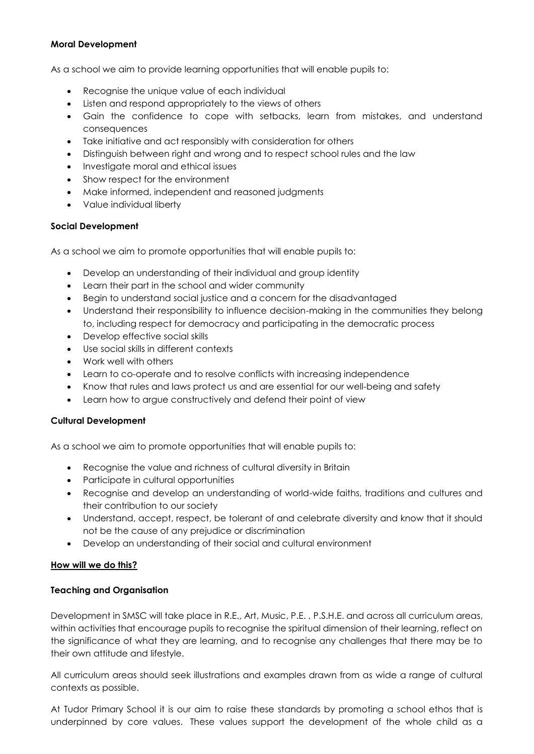#### **Moral Development**

As a school we aim to provide learning opportunities that will enable pupils to:

- Recognise the unique value of each individual
- Listen and respond appropriately to the views of others
- Gain the confidence to cope with setbacks, learn from mistakes, and understand consequences
- Take initiative and act responsibly with consideration for others
- Distinguish between right and wrong and to respect school rules and the law
- Investigate moral and ethical issues
- Show respect for the environment
- Make informed, independent and reasoned judgments
- Value individual liberty

### **Social Development**

As a school we aim to promote opportunities that will enable pupils to:

- Develop an understanding of their individual and group identity
- Learn their part in the school and wider community
- Begin to understand social justice and a concern for the disadvantaged
- Understand their responsibility to influence decision-making in the communities they belong to, including respect for democracy and participating in the democratic process
- Develop effective social skills
- Use social skills in different contexts
- Work well with others
- Learn to co-operate and to resolve conflicts with increasing independence
- Know that rules and laws protect us and are essential for our well-being and safety
- Learn how to argue constructively and defend their point of view

### **Cultural Development**

As a school we aim to promote opportunities that will enable pupils to:

- Recognise the value and richness of cultural diversity in Britain
- Participate in cultural opportunities
- Recognise and develop an understanding of world-wide faiths, traditions and cultures and their contribution to our society
- Understand, accept, respect, be tolerant of and celebrate diversity and know that it should not be the cause of any prejudice or discrimination
- Develop an understanding of their social and cultural environment

### **How will we do this?**

### **Teaching and Organisation**

Development in SMSC will take place in R.E., Art, Music, P.E. , P.S.H.E. and across all curriculum areas, within activities that encourage pupils to recognise the spiritual dimension of their learning, reflect on the significance of what they are learning, and to recognise any challenges that there may be to their own attitude and lifestyle.

All curriculum areas should seek illustrations and examples drawn from as wide a range of cultural contexts as possible.

At Tudor Primary School it is our aim to raise these standards by promoting a school ethos that is underpinned by core values. These values support the development of the whole child as a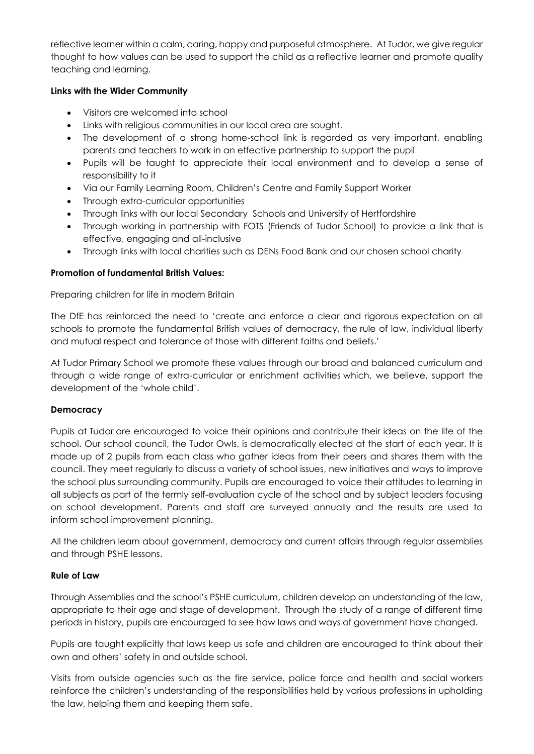reflective learner within a calm, caring, happy and purposeful atmosphere. At Tudor, we give regular thought to how values can be used to support the child as a reflective learner and promote quality teaching and learning.

### **Links with the Wider Community**

- Visitors are welcomed into school
- Links with religious communities in our local area are sought.
- The development of a strong home-school link is regarded as very important, enabling parents and teachers to work in an effective partnership to support the pupil
- Pupils will be taught to appreciate their local environment and to develop a sense of responsibility to it
- Via our Family Learning Room, Children's Centre and Family Support Worker
- Through extra-curricular opportunities
- Through links with our local Secondary Schools and University of Hertfordshire
- Through working in partnership with FOTS (Friends of Tudor School) to provide a link that is effective, engaging and all-inclusive
- Through links with local charities such as DENs Food Bank and our chosen school charity

### **Promotion of fundamental British Values:**

Preparing children for life in modern Britain

The DfE has reinforced the need to 'create and enforce a clear and rigorous expectation on all schools to promote the fundamental British values of democracy, the rule of law, individual liberty and mutual respect and tolerance of those with different faiths and beliefs.'

At Tudor Primary School we promote these values through our broad and balanced curriculum and through a wide range of extra-curricular or enrichment activities which, we believe, support the development of the 'whole child'.

### **Democracy**

Pupils at Tudor are encouraged to voice their opinions and contribute their ideas on the life of the school. Our school council, the Tudor Owls, is democratically elected at the start of each year. It is made up of 2 pupils from each class who gather ideas from their peers and shares them with the council. They meet regularly to discuss a variety of school issues, new initiatives and ways to improve the school plus surrounding community. Pupils are encouraged to voice their attitudes to learning in all subjects as part of the termly self-evaluation cycle of the school and by subject leaders focusing on school development. Parents and staff are surveyed annually and the results are used to inform school improvement planning.

All the children learn about government, democracy and current affairs through regular assemblies and through PSHE lessons.

### **Rule of Law**

Through Assemblies and the school's PSHE curriculum, children develop an understanding of the law, appropriate to their age and stage of development. Through the study of a range of different time periods in history, pupils are encouraged to see how laws and ways of government have changed.

Pupils are taught explicitly that laws keep us safe and children are encouraged to think about their own and others' safety in and outside school.

Visits from outside agencies such as the fire service, police force and health and social workers reinforce the children's understanding of the responsibilities held by various professions in upholding the law, helping them and keeping them safe.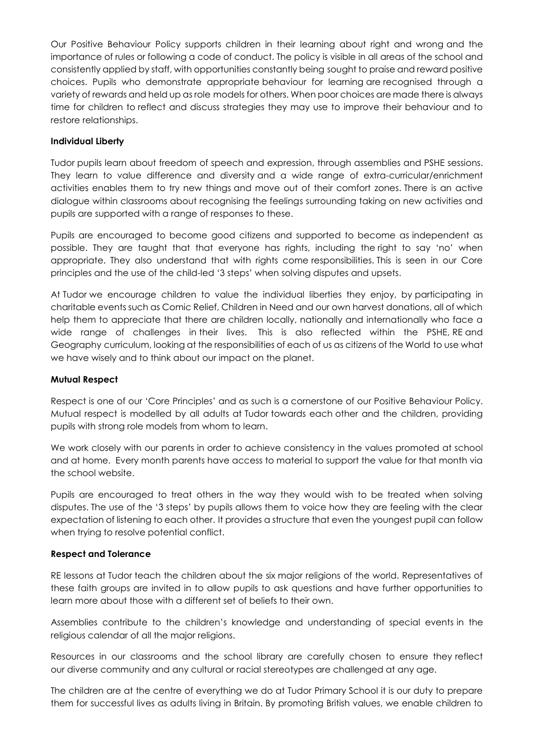Our Positive Behaviour Policy supports children in their learning about right and wrong and the importance of rules or following a code of conduct. The policy is visible in all areas of the school and consistently applied by staff, with opportunities constantly being sought to praise and reward positive choices. Pupils who demonstrate appropriate behaviour for learning are recognised through a variety of rewards and held up as role models for others. When poor choices are made there is always time for children to reflect and discuss strategies they may use to improve their behaviour and to restore relationships.

#### **Individual Liberty**

Tudor pupils learn about freedom of speech and expression, through assemblies and PSHE sessions. They learn to value difference and diversity and a wide range of extra-curricular/enrichment activities enables them to try new things and move out of their comfort zones. There is an active dialogue within classrooms about recognising the feelings surrounding taking on new activities and pupils are supported with a range of responses to these.

Pupils are encouraged to become good citizens and supported to become as independent as possible. They are taught that that everyone has rights, including the right to say 'no' when appropriate. They also understand that with rights come responsibilities. This is seen in our Core principles and the use of the child-led '3 steps' when solving disputes and upsets.

At Tudor we encourage children to value the individual liberties they enjoy, by participating in charitable events such as Comic Relief, Children in Need and our own harvest donations, all of which help them to appreciate that there are children locally, nationally and internationally who face a wide range of challenges in their lives. This is also reflected within the PSHE, RE and Geography curriculum, looking at the responsibilities of each of us as citizens of the World to use what we have wisely and to think about our impact on the planet.

#### **Mutual Respect**

Respect is one of our 'Core Principles' and as such is a cornerstone of our Positive Behaviour Policy. Mutual respect is modelled by all adults at Tudor towards each other and the children, providing pupils with strong role models from whom to learn.

We work closely with our parents in order to achieve consistency in the values promoted at school and at home. Every month parents have access to material to support the value for that month via the school website.

Pupils are encouraged to treat others in the way they would wish to be treated when solving disputes. The use of the '3 steps' by pupils allows them to voice how they are feeling with the clear expectation of listening to each other. It provides a structure that even the youngest pupil can follow when trying to resolve potential conflict.

### **Respect and Tolerance**

RE lessons at Tudor teach the children about the six major religions of the world. Representatives of these faith groups are invited in to allow pupils to ask questions and have further opportunities to learn more about those with a different set of beliefs to their own.

Assemblies contribute to the children's knowledge and understanding of special events in the religious calendar of all the major religions.

Resources in our classrooms and the school library are carefully chosen to ensure they reflect our diverse community and any cultural or racial stereotypes are challenged at any age.

The children are at the centre of everything we do at Tudor Primary School it is our duty to prepare them for successful lives as adults living in Britain. By promoting British values, we enable children to